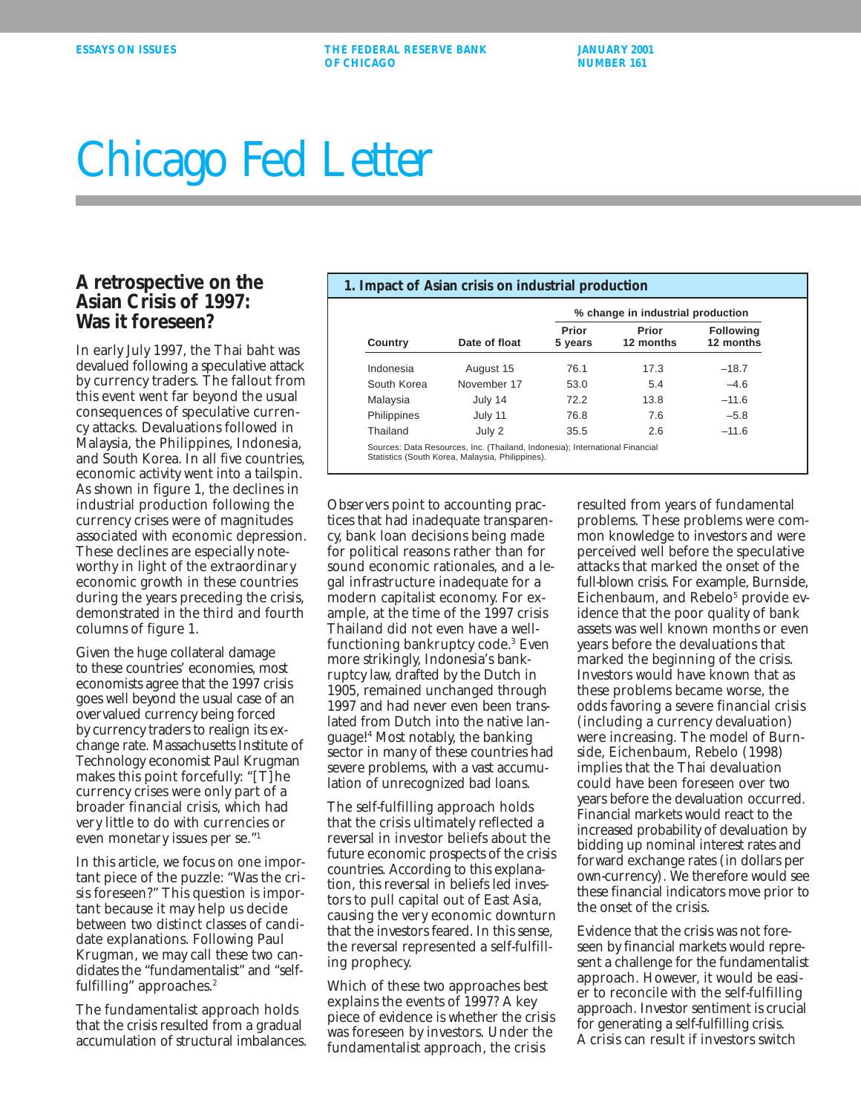**ESSAYS ON ISSUES THE FEDERAL RESERVE BANK AND SANUARY 2001 OF CHICAGO NUMBER 161** 

## Chicago Fed Letter

## **A retrospective on the Asian Crisis of 1997: Was it foreseen?**

In early July 1997, the Thai baht was devalued following a speculative attack by currency traders. The fallout from this event went far beyond the usual consequences of speculative currency attacks. Devaluations followed in Malaysia, the Philippines, Indonesia, and South Korea. In all five countries, economic activity went into a tailspin. As shown in figure 1, the declines in industrial production following the currency crises were of magnitudes associated with economic depression. These declines are especially noteworthy in light of the extraordinary economic growth in these countries during the years preceding the crisis, demonstrated in the third and fourth columns of figure 1.

Given the huge collateral damage to these countries' economies, most economists agree that the 1997 crisis goes well beyond the usual case of an overvalued currency being forced by currency traders to realign its exchange rate. Massachusetts Institute of Technology economist Paul Krugman makes this point forcefully: "[T]he currency crises were only part of a broader financial crisis, which had very little to do with currencies or even monetary issues per se."1

In this article, we focus on one important piece of the puzzle: "Was the crisis foreseen?" This question is important because it may help us decide between two distinct classes of candidate explanations. Following Paul Krugman, we may call these two candidates the "fundamentalist" and "selffulfilling" approaches.<sup>2</sup>

The fundamentalist approach holds that the crisis resulted from a gradual accumulation of structural imbalances.

| Country     | Date of float | % change in industrial production |                    |                               |
|-------------|---------------|-----------------------------------|--------------------|-------------------------------|
|             |               | Prior<br>5 years                  | Prior<br>12 months | <b>Following</b><br>12 months |
| Indonesia   | August 15     | 76.1                              | 17.3               | $-18.7$                       |
| South Korea | November 17   | 53.0                              | 5.4                | $-4.6$                        |
| Malaysia    | July 14       | 72.2                              | 13.8               | $-11.6$                       |
| Philippines | July 11       | 76.8                              | 7.6                | $-5.8$                        |
| Thailand    | July 2        | 35.5                              | 2.6                | $-11.6$                       |

Observers point to accounting practices that had inadequate transparency, bank loan decisions being made for political reasons rather than for sound economic rationales, and a legal infrastructure inadequate for a modern capitalist economy. For example, at the time of the 1997 crisis Thailand did not even have a wellfunctioning bankruptcy code.3 Even more strikingly, Indonesia's bankruptcy law, drafted by the Dutch in 1905, remained unchanged through 1997 and had never even been translated from Dutch into the native language!4 Most notably, the banking sector in many of these countries had severe problems, with a vast accumulation of unrecognized bad loans.

The self-fulfilling approach holds that the crisis ultimately reflected a reversal in investor beliefs about the future economic prospects of the crisis countries. According to this explanation, this reversal in beliefs led investors to pull capital out of East Asia, causing the very economic downturn that the investors feared. In this sense, the reversal represented a self-fulfilling prophecy.

Which of these two approaches best explains the events of 1997? A key piece of evidence is whether the crisis was foreseen by investors. Under the fundamentalist approach, the crisis

resulted from years of fundamental problems. These problems were common knowledge to investors and were perceived well before the speculative attacks that marked the onset of the full-blown crisis. For example, Burnside, Eichenbaum, and Rebelo<sup>5</sup> provide evidence that the poor quality of bank assets was well known months or even years before the devaluations that marked the beginning of the crisis. Investors would have known that as these problems became worse, the odds favoring a severe financial crisis (including a currency devaluation) were increasing. The model of Burnside, Eichenbaum, Rebelo (1998) implies that the Thai devaluation could have been foreseen over two years before the devaluation occurred. Financial markets would react to the increased probability of devaluation by bidding up nominal interest rates and forward exchange rates (in dollars per own-currency). We therefore would see these financial indicators move prior to the onset of the crisis.

Evidence that the crisis was not foreseen by financial markets would represent a challenge for the fundamentalist approach. However, it would be easier to reconcile with the self-fulfilling approach. Investor sentiment is crucial for generating a self-fulfilling crisis. A crisis can result if investors switch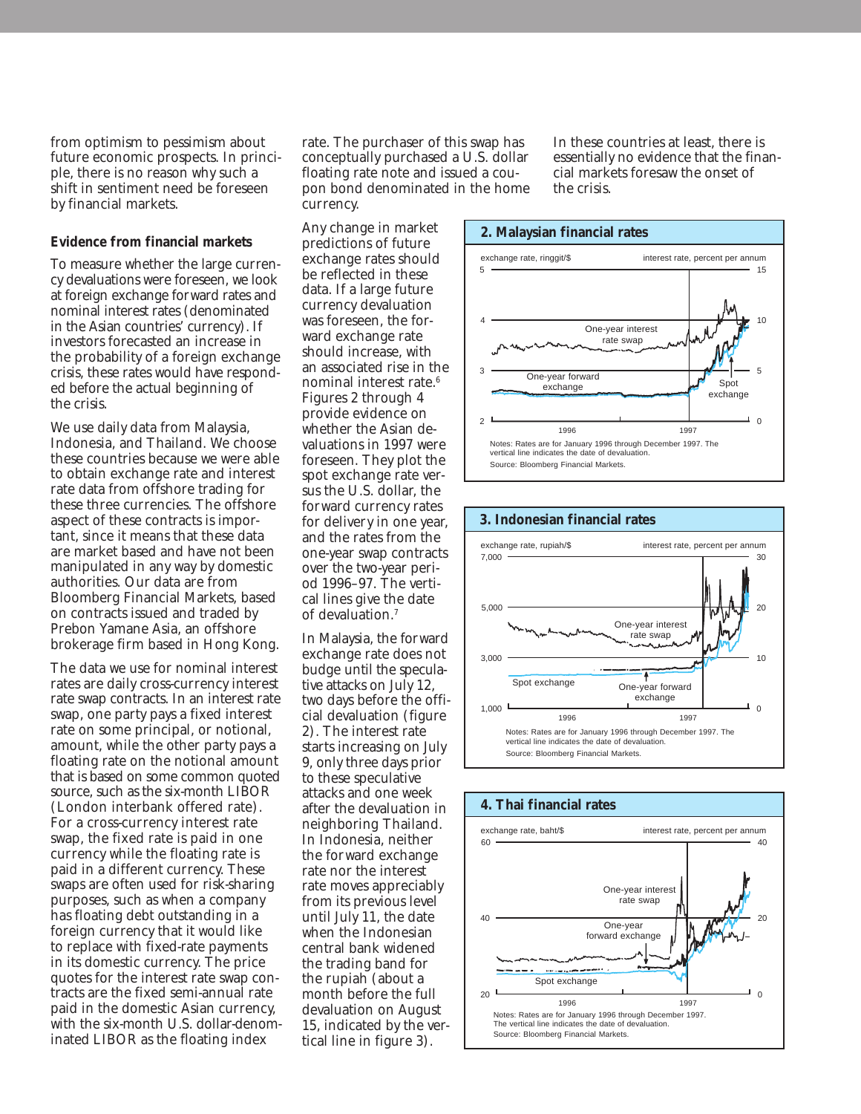from optimism to pessimism about future economic prospects. In principle, there is no reason why such a shift in sentiment need be foreseen by financial markets.

## **Evidence from financial markets**

To measure whether the large currency devaluations were foreseen, we look at foreign exchange forward rates and nominal interest rates (denominated in the Asian countries' currency). If investors forecasted an increase in the probability of a foreign exchange crisis, these rates would have responded before the actual beginning of the crisis.

We use daily data from Malaysia, Indonesia, and Thailand. We choose these countries because we were able to obtain exchange rate and interest rate data from offshore trading for these three currencies. The offshore aspect of these contracts is important, since it means that these data are market based and have not been manipulated in any way by domestic authorities. Our data are from Bloomberg Financial Markets, based on contracts issued and traded by Prebon Yamane Asia, an offshore brokerage firm based in Hong Kong.

The data we use for nominal interest rates are daily cross-currency interest rate swap contracts. In an interest rate swap, one party pays a fixed interest rate on some principal, or notional, amount, while the other party pays a floating rate on the notional amount that is based on some common quoted source, such as the six-month LIBOR (London interbank offered rate). For a cross-currency interest rate swap, the fixed rate is paid in one currency while the floating rate is paid in a different currency. These swaps are often used for risk-sharing purposes, such as when a company has floating debt outstanding in a foreign currency that it would like to replace with fixed-rate payments in its domestic currency. The price quotes for the interest rate swap contracts are the fixed semi-annual rate paid in the domestic Asian currency, with the six-month U.S. dollar-denominated LIBOR as the floating index

rate. The purchaser of this swap has conceptually purchased a U.S. dollar floating rate note and issued a coupon bond denominated in the home currency.

In these countries at least, there is essentially no evidence that the financial markets foresaw the onset of the crisis.

Any change in market predictions of future exchange rates should be reflected in these data. If a large future currency devaluation was foreseen, the forward exchange rate should increase, with an associated rise in the nominal interest rate.6 Figures 2 through 4 provide evidence on whether the Asian devaluations in 1997 were foreseen. They plot the spot exchange rate versus the U.S. dollar, the forward currency rates for delivery in one year, and the rates from the one-year swap contracts over the two-year period 1996–97. The vertical lines give the date of devaluation.7

In Malaysia, the forward exchange rate does not budge until the speculative attacks on July 12, two days before the official devaluation (figure 2). The interest rate starts increasing on July 9, only three days prior to these speculative attacks and one week after the devaluation in neighboring Thailand. In Indonesia, neither the forward exchange rate nor the interest rate moves appreciably from its previous level until July 11, the date when the Indonesian central bank widened the trading band for the rupiah (about a month before the full devaluation on August 15, indicated by the vertical line in figure 3).





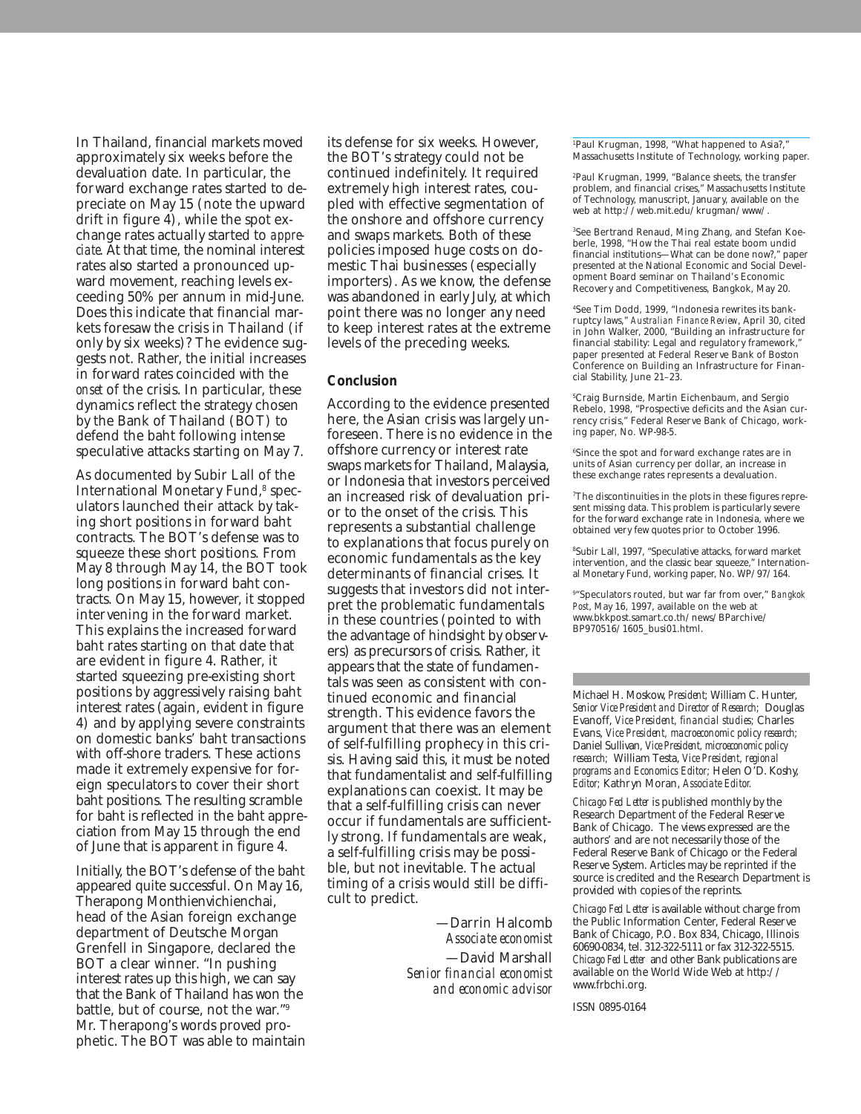In Thailand, financial markets moved approximately six weeks before the devaluation date. In particular, the forward exchange rates started to depreciate on May 15 (note the upward drift in figure 4), while the spot exchange rates actually started to *appreciate*. At that time, the nominal interest rates also started a pronounced upward movement, reaching levels exceeding 50% per annum in mid-June. Does this indicate that financial markets foresaw the crisis in Thailand (if only by six weeks)? The evidence suggests not. Rather, the initial increases in forward rates coincided with the *onset* of the crisis. In particular, these dynamics reflect the strategy chosen by the Bank of Thailand (BOT) to defend the baht following intense speculative attacks starting on May 7.

As documented by Subir Lall of the International Monetary Fund,<sup>8</sup> speculators launched their attack by taking short positions in forward baht contracts. The BOT's defense was to squeeze these short positions. From May 8 through May 14, the BOT took long positions in forward baht contracts. On May 15, however, it stopped intervening in the forward market. This explains the increased forward baht rates starting on that date that are evident in figure 4. Rather, it started squeezing pre-existing short positions by aggressively raising baht interest rates (again, evident in figure 4) and by applying severe constraints on domestic banks' baht transactions with off-shore traders. These actions made it extremely expensive for foreign speculators to cover their short baht positions. The resulting scramble for baht is reflected in the baht appreciation from May 15 through the end of June that is apparent in figure 4.

Initially, the BOT's defense of the baht appeared quite successful. On May 16, Therapong Monthienvichienchai, head of the Asian foreign exchange department of Deutsche Morgan Grenfell in Singapore, declared the BOT a clear winner. "In pushing interest rates up this high, we can say that the Bank of Thailand has won the battle, but of course, not the war."9 Mr. Therapong's words proved prophetic. The BOT was able to maintain its defense for six weeks. However, the BOT's strategy could not be continued indefinitely. It required extremely high interest rates, coupled with effective segmentation of the onshore and offshore currency and swaps markets. Both of these policies imposed huge costs on domestic Thai businesses (especially importers). As we know, the defense was abandoned in early July, at which point there was no longer any need to keep interest rates at the extreme levels of the preceding weeks.

## **Conclusion**

According to the evidence presented here, the Asian crisis was largely unforeseen. There is no evidence in the offshore currency or interest rate swaps markets for Thailand, Malaysia, or Indonesia that investors perceived an increased risk of devaluation prior to the onset of the crisis. This represents a substantial challenge to explanations that focus purely on economic fundamentals as the key determinants of financial crises. It suggests that investors did not interpret the problematic fundamentals in these countries (pointed to with the advantage of hindsight by observers) as precursors of crisis. Rather, it appears that the state of fundamentals was seen as consistent with continued economic and financial strength. This evidence favors the argument that there was an element of self-fulfilling prophecy in this crisis. Having said this, it must be noted that fundamentalist and self-fulfilling explanations can coexist. It may be that a self-fulfilling crisis can never occur if fundamentals are sufficiently strong. If fundamentals are weak, a self-fulfilling crisis may be possible, but not inevitable. The actual timing of a crisis would still be difficult to predict.

> —Darrin Halcomb *Associate economist* —David Marshall *Senior financial economist and economic advisor*

1 Paul Krugman, 1998, "What happened to Asia?," Massachusetts Institute of Technology, working paper.

2 Paul Krugman, 1999, "Balance sheets, the transfer problem, and financial crises," Massachusetts Institute of Technology, manuscript, January, available on the web at http://web.mit.edu/krugman/www/.

3 See Bertrand Renaud, Ming Zhang, and Stefan Koeberle, 1998, "How the Thai real estate boom undid financial institutions—What can be done now?," paper presented at the National Economic and Social Development Board seminar on Thailand's Economic Recovery and Competitiveness, Bangkok, May 20.

4 See Tim Dodd, 1999, "Indonesia rewrites its bankruptcy laws," *Australian Finance Review*, April 30, cited in John Walker, 2000, "Building an infrastructure for financial stability: Legal and regulatory framework," paper presented at Federal Reserve Bank of Boston Conference on Building an Infrastructure for Financial Stability, June 21–23.

5 Craig Burnside, Martin Eichenbaum, and Sergio Rebelo, 1998, "Prospective deficits and the Asian currency crisis," Federal Reserve Bank of Chicago, working paper, No. WP-98-5.

6 Since the spot and forward exchange rates are in units of Asian currency per dollar, an increase in these exchange rates represents a devaluation.

7 The discontinuities in the plots in these figures represent missing data. This problem is particularly severe for the forward exchange rate in Indonesia, where we obtained very few quotes prior to October 1996.

8 Subir Lall, 1997, "Speculative attacks, forward market intervention, and the classic bear squeeze," Internation-al Monetary Fund, working paper, No. WP/97/164.

9 "Speculators routed, but war far from over," *Bangkok Post*, May 16, 1997, available on the web at www.bkkpost.samart.co.th/news/BParchive/ BP970516/1605\_busi01.html.

Michael H. Moskow, *President;* William C. Hunter, *Senior Vice President and Director of Research;* Douglas Evanoff, *Vice President, financial studies;* Charles Evans, *Vice President, macroeconomic policy research;* Daniel Sullivan*, Vice President, microeconomic policy research;* William Testa, *Vice President, regional programs and Economics Editor;* Helen O'D. Koshy, *Editor;* Kathryn Moran, *Associate Editor.*

*Chicago Fed Letter* is published monthly by the Research Department of the Federal Reserve Bank of Chicago. The views expressed are the authors' and are not necessarily those of the Federal Reserve Bank of Chicago or the Federal Reserve System. Articles may be reprinted if the source is credited and the Research Department is provided with copies of the reprints.

*Chicago Fed Letter* is available without charge from the Public Information Center, Federal Reserve Bank of Chicago, P.O. Box 834, Chicago, Illinois 60690-0834, tel. 312-322-5111 or fax 312-322-5515. *Chicago Fed Letter* and other Bank publications are available on the World Wide Web at http:// www.frbchi.org.

ISSN 0895-0164